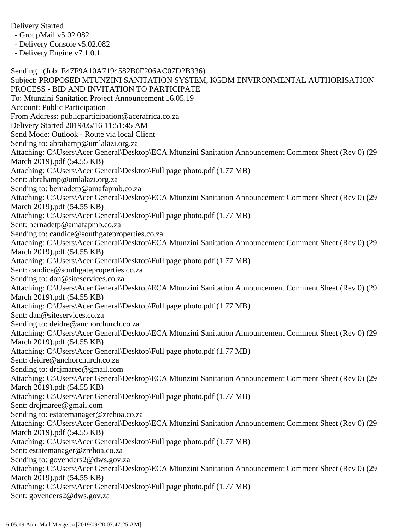Delivery Started

- GroupMail v5.02.082

- Delivery Console v5.02.082

- Delivery Engine v7.1.0.1

Sending (Job: E47F9A10A7194582B0F206AC07D2B336) Subject: PROPOSED MTUNZINI SANITATION SYSTEM, KGDM ENVIRONMENTAL AUTHORISATION PROCESS - BID AND INVITATION TO PARTICIPATE To: Mtunzini Sanitation Project Announcement 16.05.19 Account: Public Participation From Address: publicparticipation@acerafrica.co.za Delivery Started 2019/05/16 11:51:45 AM Send Mode: Outlook - Route via local Client Sending to: abrahamp@umlalazi.org.za Attaching: C:\Users\Acer General\Desktop\ECA Mtunzini Sanitation Announcement Comment Sheet (Rev 0) (29 March 2019).pdf (54.55 KB) Attaching: C:\Users\Acer General\Desktop\Full page photo.pdf (1.77 MB) Sent: abrahamp@umlalazi.org.za Sending to: bernadetp@amafapmb.co.za Attaching: C:\Users\Acer General\Desktop\ECA Mtunzini Sanitation Announcement Comment Sheet (Rev 0) (29 March 2019).pdf (54.55 KB) Attaching: C:\Users\Acer General\Desktop\Full page photo.pdf (1.77 MB) Sent: bernadetp@amafapmb.co.za Sending to: candice@southgateproperties.co.za Attaching: C:\Users\Acer General\Desktop\ECA Mtunzini Sanitation Announcement Comment Sheet (Rev 0) (29 March 2019).pdf (54.55 KB) Attaching: C:\Users\Acer General\Desktop\Full page photo.pdf (1.77 MB) Sent: candice@southgateproperties.co.za Sending to: dan@siteservices.co.za Attaching: C:\Users\Acer General\Desktop\ECA Mtunzini Sanitation Announcement Comment Sheet (Rev 0) (29 March 2019).pdf (54.55 KB) Attaching: C:\Users\Acer General\Desktop\Full page photo.pdf (1.77 MB) Sent: dan@siteservices.co.za Sending to: deidre@anchorchurch.co.za Attaching: C:\Users\Acer General\Desktop\ECA Mtunzini Sanitation Announcement Comment Sheet (Rev 0) (29 March 2019).pdf (54.55 KB) Attaching: C:\Users\Acer General\Desktop\Full page photo.pdf (1.77 MB) Sent: deidre@anchorchurch.co.za Sending to: drcjmaree@gmail.com Attaching: C:\Users\Acer General\Desktop\ECA Mtunzini Sanitation Announcement Comment Sheet (Rev 0) (29 March 2019).pdf (54.55 KB) Attaching: C:\Users\Acer General\Desktop\Full page photo.pdf (1.77 MB) Sent: drcjmaree@gmail.com Sending to: estatemanager@zrehoa.co.za Attaching: C:\Users\Acer General\Desktop\ECA Mtunzini Sanitation Announcement Comment Sheet (Rev 0) (29 March 2019).pdf (54.55 KB) Attaching: C:\Users\Acer General\Desktop\Full page photo.pdf (1.77 MB) Sent: estatemanager@zrehoa.co.za Sending to: govenders2@dws.gov.za Attaching: C:\Users\Acer General\Desktop\ECA Mtunzini Sanitation Announcement Comment Sheet (Rev 0) (29 March 2019).pdf (54.55 KB) Attaching: C:\Users\Acer General\Desktop\Full page photo.pdf (1.77 MB) Sent: govenders2@dws.gov.za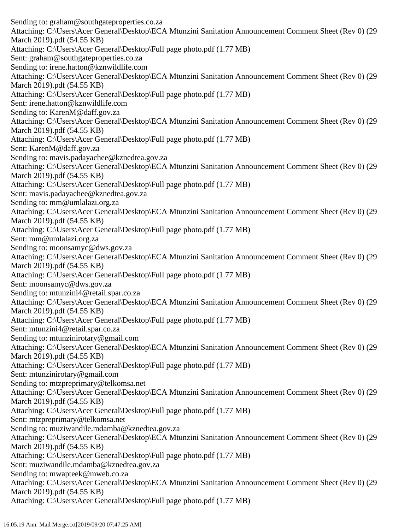Sending to: graham@southgateproperties.co.za Attaching: C:\Users\Acer General\Desktop\ECA Mtunzini Sanitation Announcement Comment Sheet (Rev 0) (29 March 2019).pdf (54.55 KB) Attaching: C:\Users\Acer General\Desktop\Full page photo.pdf (1.77 MB) Sent: graham@southgateproperties.co.za Sending to: irene.hatton@kznwildlife.com Attaching: C:\Users\Acer General\Desktop\ECA Mtunzini Sanitation Announcement Comment Sheet (Rev 0) (29 March 2019).pdf (54.55 KB) Attaching: C:\Users\Acer General\Desktop\Full page photo.pdf (1.77 MB) Sent: irene.hatton@kznwildlife.com Sending to: KarenM@daff.gov.za Attaching: C:\Users\Acer General\Desktop\ECA Mtunzini Sanitation Announcement Comment Sheet (Rev 0) (29 March 2019).pdf (54.55 KB) Attaching: C:\Users\Acer General\Desktop\Full page photo.pdf (1.77 MB) Sent: KarenM@daff.gov.za Sending to: mavis.padayachee@kznedtea.gov.za Attaching: C:\Users\Acer General\Desktop\ECA Mtunzini Sanitation Announcement Comment Sheet (Rev 0) (29 March 2019).pdf (54.55 KB) Attaching: C:\Users\Acer General\Desktop\Full page photo.pdf (1.77 MB) Sent: mavis.padayachee@kznedtea.gov.za Sending to: mm@umlalazi.org.za Attaching: C:\Users\Acer General\Desktop\ECA Mtunzini Sanitation Announcement Comment Sheet (Rev 0) (29 March 2019).pdf (54.55 KB) Attaching: C:\Users\Acer General\Desktop\Full page photo.pdf (1.77 MB) Sent: mm@umlalazi.org.za Sending to: moonsamyc@dws.gov.za Attaching: C:\Users\Acer General\Desktop\ECA Mtunzini Sanitation Announcement Comment Sheet (Rev 0) (29 March 2019).pdf (54.55 KB) Attaching: C:\Users\Acer General\Desktop\Full page photo.pdf (1.77 MB) Sent: moonsamyc@dws.gov.za Sending to: mtunzini4@retail.spar.co.za Attaching: C:\Users\Acer General\Desktop\ECA Mtunzini Sanitation Announcement Comment Sheet (Rev 0) (29 March 2019).pdf (54.55 KB) Attaching: C:\Users\Acer General\Desktop\Full page photo.pdf (1.77 MB) Sent: mtunzini4@retail.spar.co.za Sending to: mtunzinirotary@gmail.com Attaching: C:\Users\Acer General\Desktop\ECA Mtunzini Sanitation Announcement Comment Sheet (Rev 0) (29 March 2019).pdf (54.55 KB) Attaching: C:\Users\Acer General\Desktop\Full page photo.pdf (1.77 MB) Sent: mtunzinirotary@gmail.com Sending to: mtzpreprimary@telkomsa.net Attaching: C:\Users\Acer General\Desktop\ECA Mtunzini Sanitation Announcement Comment Sheet (Rev 0) (29 March 2019).pdf (54.55 KB) Attaching: C:\Users\Acer General\Desktop\Full page photo.pdf (1.77 MB) Sent: mtzpreprimary@telkomsa.net Sending to: muziwandile.mdamba@kznedtea.gov.za Attaching: C:\Users\Acer General\Desktop\ECA Mtunzini Sanitation Announcement Comment Sheet (Rev 0) (29 March 2019).pdf (54.55 KB) Attaching: C:\Users\Acer General\Desktop\Full page photo.pdf (1.77 MB) Sent: muziwandile.mdamba@kznedtea.gov.za Sending to: mwapteek@mweb.co.za Attaching: C:\Users\Acer General\Desktop\ECA Mtunzini Sanitation Announcement Comment Sheet (Rev 0) (29 March 2019).pdf (54.55 KB) Attaching: C:\Users\Acer General\Desktop\Full page photo.pdf (1.77 MB)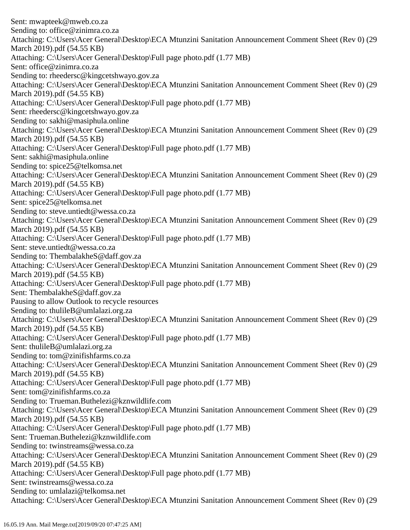Sent: mwapteek@mweb.co.za Sending to: office@zinimra.co.za Attaching: C:\Users\Acer General\Desktop\ECA Mtunzini Sanitation Announcement Comment Sheet (Rev 0) (29 March 2019).pdf (54.55 KB) Attaching: C:\Users\Acer General\Desktop\Full page photo.pdf (1.77 MB) Sent: office@zinimra.co.za Sending to: rheedersc@kingcetshwayo.gov.za Attaching: C:\Users\Acer General\Desktop\ECA Mtunzini Sanitation Announcement Comment Sheet (Rev 0) (29 March 2019).pdf (54.55 KB) Attaching: C:\Users\Acer General\Desktop\Full page photo.pdf (1.77 MB) Sent: rheedersc@kingcetshwayo.gov.za Sending to: sakhi@masiphula.online Attaching: C:\Users\Acer General\Desktop\ECA Mtunzini Sanitation Announcement Comment Sheet (Rev 0) (29 March 2019).pdf (54.55 KB) Attaching: C:\Users\Acer General\Desktop\Full page photo.pdf (1.77 MB) Sent: sakhi@masiphula.online Sending to: spice25@telkomsa.net Attaching: C:\Users\Acer General\Desktop\ECA Mtunzini Sanitation Announcement Comment Sheet (Rev 0) (29 March 2019).pdf (54.55 KB) Attaching: C:\Users\Acer General\Desktop\Full page photo.pdf (1.77 MB) Sent: spice25@telkomsa.net Sending to: steve.untiedt@wessa.co.za Attaching: C:\Users\Acer General\Desktop\ECA Mtunzini Sanitation Announcement Comment Sheet (Rev 0) (29 March 2019).pdf (54.55 KB) Attaching: C:\Users\Acer General\Desktop\Full page photo.pdf (1.77 MB) Sent: steve.untiedt@wessa.co.za Sending to: ThembalakheS@daff.gov.za Attaching: C:\Users\Acer General\Desktop\ECA Mtunzini Sanitation Announcement Comment Sheet (Rev 0) (29 March 2019).pdf (54.55 KB) Attaching: C:\Users\Acer General\Desktop\Full page photo.pdf (1.77 MB) Sent: ThembalakheS@daff.gov.za Pausing to allow Outlook to recycle resources Sending to: thulileB@umlalazi.org.za Attaching: C:\Users\Acer General\Desktop\ECA Mtunzini Sanitation Announcement Comment Sheet (Rev 0) (29 March 2019).pdf (54.55 KB) Attaching: C:\Users\Acer General\Desktop\Full page photo.pdf (1.77 MB) Sent: thulileB@umlalazi.org.za Sending to: tom@zinifishfarms.co.za Attaching: C:\Users\Acer General\Desktop\ECA Mtunzini Sanitation Announcement Comment Sheet (Rev 0) (29 March 2019).pdf (54.55 KB) Attaching: C:\Users\Acer General\Desktop\Full page photo.pdf (1.77 MB) Sent: tom@zinifishfarms.co.za Sending to: Trueman.Buthelezi@kznwildlife.com Attaching: C:\Users\Acer General\Desktop\ECA Mtunzini Sanitation Announcement Comment Sheet (Rev 0) (29 March 2019).pdf (54.55 KB) Attaching: C:\Users\Acer General\Desktop\Full page photo.pdf (1.77 MB) Sent: Trueman.Buthelezi@kznwildlife.com Sending to: twinstreams@wessa.co.za Attaching: C:\Users\Acer General\Desktop\ECA Mtunzini Sanitation Announcement Comment Sheet (Rev 0) (29 March 2019).pdf (54.55 KB) Attaching: C:\Users\Acer General\Desktop\Full page photo.pdf (1.77 MB) Sent: twinstreams@wessa.co.za Sending to: umlalazi@telkomsa.net Attaching: C:\Users\Acer General\Desktop\ECA Mtunzini Sanitation Announcement Comment Sheet (Rev 0) (29